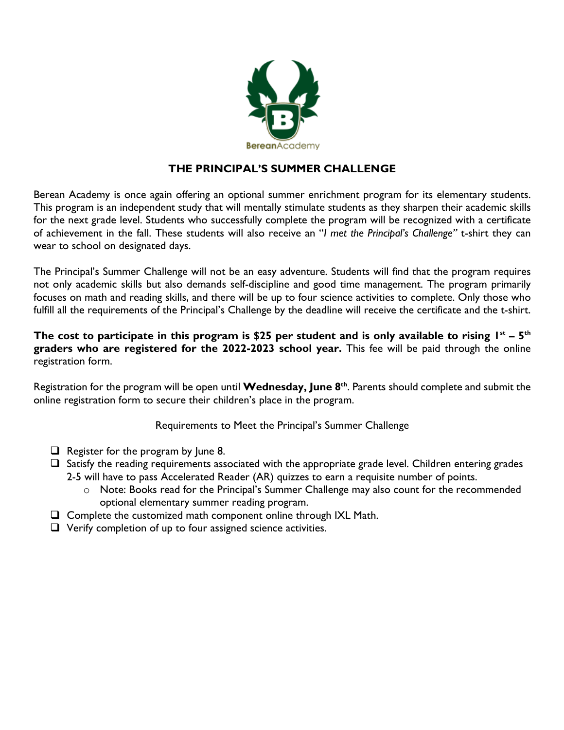

## **THE PRINCIPAL'S SUMMER CHALLENGE**

Berean Academy is once again offering an optional summer enrichment program for its elementary students. This program is an independent study that will mentally stimulate students as they sharpen their academic skills for the next grade level. Students who successfully complete the program will be recognized with a certificate of achievement in the fall. These students will also receive an "*I met the Principal's Challenge"* t-shirt they can wear to school on designated days.

The Principal's Summer Challenge will not be an easy adventure. Students will find that the program requires not only academic skills but also demands self-discipline and good time management. The program primarily focuses on math and reading skills, and there will be up to four science activities to complete. Only those who fulfill all the requirements of the Principal's Challenge by the deadline will receive the certificate and the t-shirt.

## **The cost to participate in this program is \$25 per student and is only available to rising 1st – 5th graders who are registered for the 2022-2023 school year.** This fee will be paid through the online registration form.

Registration for the program will be open until **Wednesday, June 8th**. Parents should complete and submit the online registration form to secure their children's place in the program.

Requirements to Meet the Principal's Summer Challenge

- $\Box$  Register for the program by June 8.
- $\Box$  Satisfy the reading requirements associated with the appropriate grade level. Children entering grades 2-5 will have to pass Accelerated Reader (AR) quizzes to earn a requisite number of points.
	- o Note: Books read for the Principal's Summer Challenge may also count for the recommended optional elementary summer reading program.
- $\Box$  Complete the customized math component online through IXL Math.
- $\Box$  Verify completion of up to four assigned science activities.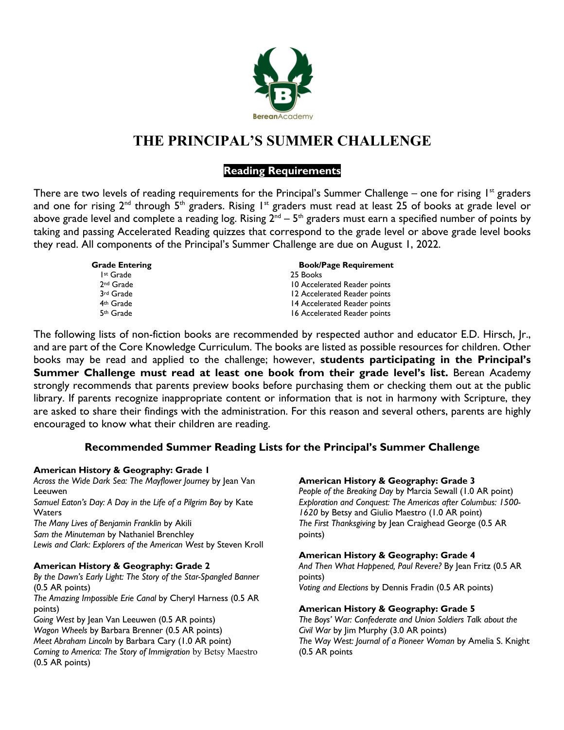

## **THE PRINCIPAL'S SUMMER CHALLENGE**

## **Reading Requirements**

There are two levels of reading requirements for the Principal's Summer Challenge – one for rising  $1<sup>st</sup>$  graders and one for rising  $2^{nd}$  through  $5^{th}$  graders. Rising  $1^{st}$  graders must read at least 25 of books at grade level or above grade level and complete a reading log. Rising  $2^{nd}$  –  $5^{th}$  graders must earn a specified number of points by taking and passing Accelerated Reading quizzes that correspond to the grade level or above grade level books they read. All components of the Principal's Summer Challenge are due on August 1, 2022.

| <b>Grade Entering</b> | <b>Book/Page Requirement</b> |
|-----------------------|------------------------------|
| Ist Grade             | 25 Books                     |
| 2 <sup>nd</sup> Grade | 10 Accelerated Reader points |
| 3rd Grade             | 12 Accelerated Reader points |
| 4 <sup>th</sup> Grade | 14 Accelerated Reader points |
| 5 <sup>th</sup> Grade | 16 Accelerated Reader points |

The following lists of non-fiction books are recommended by respected author and educator E.D. Hirsch, Jr., and are part of the Core Knowledge Curriculum. The books are listed as possible resources for children. Other books may be read and applied to the challenge; however, **students participating in the Principal's**  Summer Challenge must read at least one book from their grade level's list. Berean Academy strongly recommends that parents preview books before purchasing them or checking them out at the public library. If parents recognize inappropriate content or information that is not in harmony with Scripture, they are asked to share their findings with the administration. For this reason and several others, parents are highly encouraged to know what their children are reading.

## **Recommended Summer Reading Lists for the Principal's Summer Challenge**

#### **American History & Geography: Grade 1**

*Across the Wide Dark Sea: The Mayflower Journey* by Jean Van Leeuwen *Samuel Eaton's Day: A Day in the Life of a Pilgrim Boy* by Kate **Waters** *The Many Lives of Benjamin Franklin* by Akili *Sam the Minuteman* by Nathaniel Brenchley *Lewis and Clark: Explorers of the American West* by Steven Kroll

#### **American History & Geography: Grade 2**

*By the Dawn's Early Light: The Story of the Star-Spangled Banner* (0.5 AR points) *The Amazing Impossible Erie Canal* by Cheryl Harness (0.5 AR

points)

*Going West* by Jean Van Leeuwen (0.5 AR points) *Wagon Wheels* by Barbara Brenner (0.5 AR points) *Meet Abraham Lincoln* by Barbara Cary (1.0 AR point) *Coming to America: The Story of Immigration* by Betsy Maestro (0.5 AR points)

### **American History & Geography: Grade 3**

*People of the Breaking Day* by Marcia Sewall (1.0 AR point) *Exploration and Conquest: The Americas after Columbus: 1500- 1620* by Betsy and Giulio Maestro (1.0 AR point) *The First Thanksgiving* by Jean Craighead George (0.5 AR points)

#### **American History & Geography: Grade 4**

*And Then What Happened, Paul Revere?* By Jean Fritz (0.5 AR points)

*Voting and Elections* by Dennis Fradin (0.5 AR points)

#### **American History & Geography: Grade 5**

*The Boys' War: Confederate and Union Soldiers Talk about the Civil War* by Jim Murphy (3.0 AR points) *The Way West: Journal of a Pioneer Woman* by Amelia S. Knight (0.5 AR points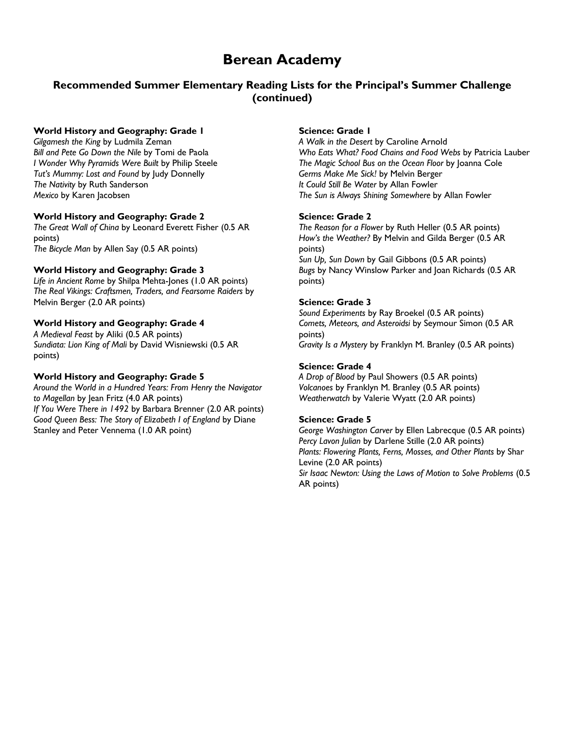# **Berean Academy**

## **Recommended Summer Elementary Reading Lists for the Principal's Summer Challenge (continued)**

#### **World History and Geography: Grade 1**

*Gilgamesh the King* by Ludmila Zeman *Bill and Pete Go Down the Nile* by Tomi de Paola *I Wonder Why Pyramids Were Built* by Philip Steele *Tut's Mummy: Lost and Found* by Judy Donnelly *The Nativity* by Ruth Sanderson *Mexico* by Karen Jacobsen

#### **World History and Geography: Grade 2**

*The Great Wall of China* by Leonard Everett Fisher (0.5 AR points) *The Bicycle Man* by Allen Say (0.5 AR points)

#### **World History and Geography: Grade 3**

*Life in Ancient Rome* by Shilpa Mehta-Jones (1.0 AR points) *The Real Vikings: Craftsmen, Traders, and Fearsome Raiders* by Melvin Berger (2.0 AR points)

#### **World History and Geography: Grade 4**

*A Medieval Feast* by Aliki (0.5 AR points) *Sundiata: Lion King of Mali* by David Wisniewski (0.5 AR points)

#### **World History and Geography: Grade 5**

*Around the World in a Hundred Years: From Henry the Navigator to Magellan* by Jean Fritz (4.0 AR points) *If You Were There in 1492* by Barbara Brenner (2.0 AR points) *Good Queen Bess: The Story of Elizabeth I of England* by Diane Stanley and Peter Vennema (1.0 AR point)

#### **Science: Grade 1**

*A Walk in the Desert* by Caroline Arnold *Who Eats What? Food Chains and Food Webs* by Patricia Lauber *The Magic School Bus on the Ocean Floor* by Joanna Cole *Germs Make Me Sick!* by Melvin Berger *It Could Still Be Water* by Allan Fowler *The Sun is Always Shining Somewhere* by Allan Fowler

#### **Science: Grade 2**

*The Reason for a Flower* by Ruth Heller (0.5 AR points) *How's the Weather?* By Melvin and Gilda Berger (0.5 AR points) *Sun Up, Sun Down* by Gail Gibbons (0.5 AR points) *Bugs* by Nancy Winslow Parker and Joan Richards (0.5 AR points)

#### **Science: Grade 3**

*Sound Experiments* by Ray Broekel (0.5 AR points) *Comets, Meteors, and Asteroidsi* by Seymour Simon (0.5 AR points) *Gravity Is a Mystery* by Franklyn M. Branley (0.5 AR points)

#### **Science: Grade 4**

*A Drop of Blood* by Paul Showers (0.5 AR points) *Volcanoes* by Franklyn M. Branley (0.5 AR points) *Weatherwatch* by Valerie Wyatt (2.0 AR points)

#### **Science: Grade 5**

*George Washington Carver* by Ellen Labrecque (0.5 AR points) *Percy Lavon Julian* by Darlene Stille (2.0 AR points) *Plants: Flowering Plants, Ferns, Mosses, and Other Plants* by Shar Levine (2.0 AR points) *Sir Isaac Newton: Using the Laws of Motion to Solve Problems* (0.5 AR points)